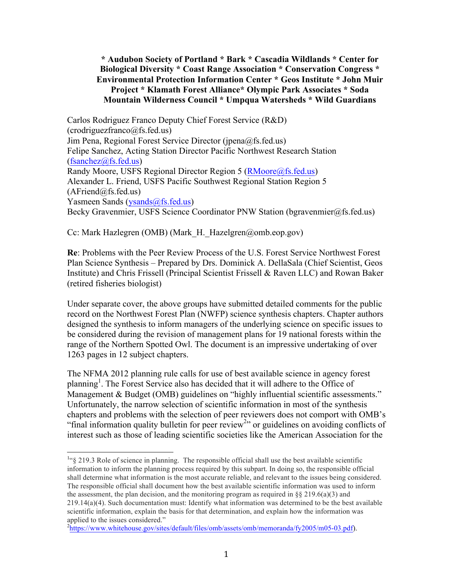## **\* Audubon Society of Portland \* Bark \* Cascadia Wildlands \* Center for Biological Diversity \* Coast Range Association \* Conservation Congress \* Environmental Protection Information Center \* Geos Institute \* John Muir Project \* Klamath Forest Alliance\* Olympic Park Associates \* Soda Mountain Wilderness Council \* Umpqua Watersheds \* Wild Guardians**

Carlos Rodriguez Franco Deputy Chief Forest Service (R&D)  $(cordriquezfranco@fs.fed.us)$ Jim Pena, Regional Forest Service Director (jpena@fs.fed.us) Felipe Sanchez, Acting Station Director Pacific Northwest Research Station (fsanchez@fs.fed.us) Randy Moore, USFS Regional Director Region 5 (RMoore@fs.fed.us) Alexander L. Friend, USFS Pacific Southwest Regional Station Region 5  $(AFriend@fs.fed.us)$ Yasmeen Sands (ysands@fs.fed.us) Becky Gravenmier, USFS Science Coordinator PNW Station (bgravenmier@fs.fed.us)

Cc: Mark Hazlegren (OMB) (Mark\_H.\_Hazelgren@omb.eop.gov)

**Re**: Problems with the Peer Review Process of the U.S. Forest Service Northwest Forest Plan Science Synthesis – Prepared by Drs. Dominick A. DellaSala (Chief Scientist, Geos Institute) and Chris Frissell (Principal Scientist Frissell & Raven LLC) and Rowan Baker (retired fisheries biologist)

Under separate cover, the above groups have submitted detailed comments for the public record on the Northwest Forest Plan (NWFP) science synthesis chapters. Chapter authors designed the synthesis to inform managers of the underlying science on specific issues to be considered during the revision of management plans for 19 national forests within the range of the Northern Spotted Owl. The document is an impressive undertaking of over 1263 pages in 12 subject chapters.

The NFMA 2012 planning rule calls for use of best available science in agency forest planning<sup>1</sup>. The Forest Service also has decided that it will adhere to the Office of Management & Budget (OMB) guidelines on "highly influential scientific assessments." Unfortunately, the narrow selection of scientific information in most of the synthesis chapters and problems with the selection of peer reviewers does not comport with OMB's "final information quality bulletin for peer review<sup>2</sup>" or guidelines on avoiding conflicts of interest such as those of leading scientific societies like the American Association for the

<sup>&</sup>lt;sup>1.4</sup> 219.3 Role of science in planning. The responsible official shall use the best available scientific information to inform the planning process required by this subpart. In doing so, the responsible official shall determine what information is the most accurate reliable, and relevant to the issues being considered. The responsible official shall document how the best available scientific information was used to inform the assessment, the plan decision, and the monitoring program as required in  $\S$ § 219.6(a)(3) and 219.14(a)(4). Such documentation must: Identify what information was determined to be the best available scientific information, explain the basis for that determination, and explain how the information was applied to the issues considered."

<sup>&</sup>lt;sup>2</sup>https://www.whitehouse.gov/sites/default/files/omb/assets/omb/memoranda/fy2005/m05-03.pdf).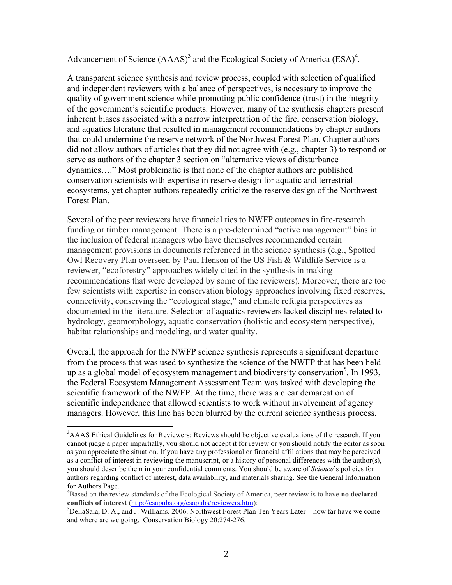Advancement of Science  $(AAAS)^3$  and the Ecological Society of America  $(ESA)^4$ .

A transparent science synthesis and review process, coupled with selection of qualified and independent reviewers with a balance of perspectives, is necessary to improve the quality of government science while promoting public confidence (trust) in the integrity of the government's scientific products. However, many of the synthesis chapters present inherent biases associated with a narrow interpretation of the fire, conservation biology, and aquatics literature that resulted in management recommendations by chapter authors that could undermine the reserve network of the Northwest Forest Plan. Chapter authors did not allow authors of articles that they did not agree with (e.g., chapter 3) to respond or serve as authors of the chapter 3 section on "alternative views of disturbance dynamics…." Most problematic is that none of the chapter authors are published conservation scientists with expertise in reserve design for aquatic and terrestrial ecosystems, yet chapter authors repeatedly criticize the reserve design of the Northwest Forest Plan.

Several of the peer reviewers have financial ties to NWFP outcomes in fire-research funding or timber management. There is a pre-determined "active management" bias in the inclusion of federal managers who have themselves recommended certain management provisions in documents referenced in the science synthesis (e.g., Spotted Owl Recovery Plan overseen by Paul Henson of the US Fish & Wildlife Service is a reviewer, "ecoforestry" approaches widely cited in the synthesis in making recommendations that were developed by some of the reviewers). Moreover, there are too few scientists with expertise in conservation biology approaches involving fixed reserves, connectivity, conserving the "ecological stage," and climate refugia perspectives as documented in the literature. Selection of aquatics reviewers lacked disciplines related to hydrology, geomorphology, aquatic conservation (holistic and ecosystem perspective), habitat relationships and modeling, and water quality.

Overall, the approach for the NWFP science synthesis represents a significant departure from the process that was used to synthesize the science of the NWFP that has been held up as a global model of ecosystem management and biodiversity conservation<sup>5</sup>. In 1993, the Federal Ecosystem Management Assessment Team was tasked with developing the scientific framework of the NWFP. At the time, there was a clear demarcation of scientific independence that allowed scientists to work without involvement of agency managers. However, this line has been blurred by the current science synthesis process,

<sup>&</sup>lt;sup>3</sup>AAAS Ethical Guidelines for Reviewers: Reviews should be objective evaluations of the research. If you cannot judge a paper impartially, you should not accept it for review or you should notify the editor as soon as you appreciate the situation. If you have any professional or financial affiliations that may be perceived as a conflict of interest in reviewing the manuscript, or a history of personal differences with the author(s), you should describe them in your confidential comments. You should be aware of *Science*'s policies for authors regarding conflict of interest, data availability, and materials sharing. See the General Information for Authors Page.

Based on the review standards of the Ecological Society of America, peer review is to have **no declared conflicts of interest** (http://esapubs.org/esapubs/reviewers.htm):

<sup>&</sup>lt;sup>5</sup>DellaSala, D. A., and J. Williams. 2006. Northwest Forest Plan Ten Years Later – how far have we come and where are we going. Conservation Biology 20:274-276.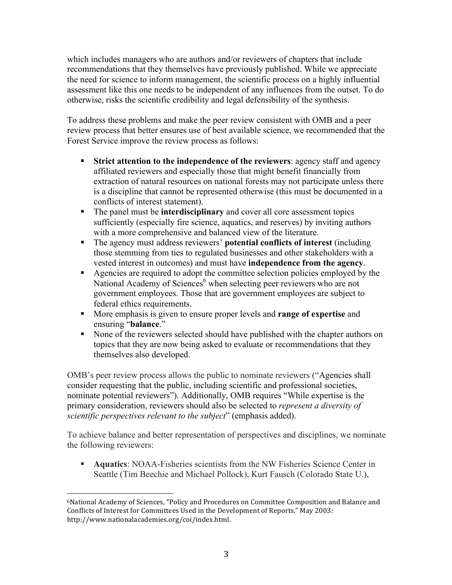which includes managers who are authors and/or reviewers of chapters that include recommendations that they themselves have previously published. While we appreciate the need for science to inform management, the scientific process on a highly influential assessment like this one needs to be independent of any influences from the outset. To do otherwise, risks the scientific credibility and legal defensibility of the synthesis.

To address these problems and make the peer review consistent with OMB and a peer review process that better ensures use of best available science, we recommended that the Forest Service improve the review process as follows:

- § **Strict attention to the independence of the reviewers**: agency staff and agency affiliated reviewers and especially those that might benefit financially from extraction of natural resources on national forests may not participate unless there is a discipline that cannot be represented otherwise (this must be documented in a conflicts of interest statement).
- The panel must be **interdisciplinary** and cover all core assessment topics sufficiently (especially fire science, aquatics, and reserves) by inviting authors with a more comprehensive and balanced view of the literature.
- § The agency must address reviewers' **potential conflicts of interest** (including those stemming from ties to regulated businesses and other stakeholders with a vested interest in outcomes) and must have **independence from the agency**.
- § Agencies are required to adopt the committee selection policies employed by the National Academy of Sciences<sup> $6$ </sup> when selecting peer reviewers who are not government employees. Those that are government employees are subject to federal ethics requirements.
- § More emphasis is given to ensure proper levels and **range of expertise** and ensuring "**balance**."
- None of the reviewers selected should have published with the chapter authors on topics that they are now being asked to evaluate or recommendations that they themselves also developed.

OMB's peer review process allows the public to nominate reviewers ("Agencies shall consider requesting that the public, including scientific and professional societies, nominate potential reviewers"). Additionally, OMB requires "While expertise is the primary consideration, reviewers should also be selected to *represent a diversity of scientific perspectives relevant to the subject*" (emphasis added).

To achieve balance and better representation of perspectives and disciplines, we nominate the following reviewers:

§ **Aquatics**: NOAA-Fisheries scientists from the NW Fisheries Science Center in Seattle (Tim Beechie and Michael Pollock), Kurt Fausch (Colorado State U.),

 <sup>6</sup>National Academy of Sciences, "Policy and Procedures on Committee Composition and Balance and Conflicts of Interest for Committees Used in the Development of Reports," May 2003: http://www.nationalacademies.org/coi/index.html.